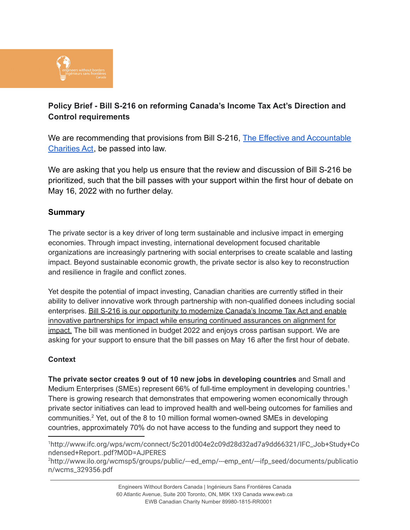

# **Policy Brief - Bill S-216 on reforming Canada's Income Tax Act's Direction and Control requirements**

We are recommending that provisions from Bill S-216, [The Effective and Accountable](https://www.parl.ca/DocumentViewer/en/44-1/bill/S-216/third-reading) [Charities Act](https://www.parl.ca/DocumentViewer/en/44-1/bill/S-216/third-reading), be passed into law.

We are asking that you help us ensure that the review and discussion of Bill S-216 be prioritized, such that the bill passes with your support within the first hour of debate on May 16, 2022 with no further delay.

## **Summary**

The private sector is a key driver of long term sustainable and inclusive impact in emerging economies. Through impact investing, international development focused charitable organizations are increasingly partnering with social enterprises to create scalable and lasting impact. Beyond sustainable economic growth, the private sector is also key to reconstruction and resilience in fragile and conflict zones.

Yet despite the potential of impact investing, Canadian charities are currently stifled in their ability to deliver innovative work through partnership with non-qualified donees including social enterprises. Bill S-216 is our opportunity to modernize Canada's Income Tax Act and enable innovative partnerships for impact while ensuring continued assurances on alignment for impact. The bill was mentioned in budget 2022 and enjoys cross partisan support. We are asking for your support to ensure that the bill passes on May 16 after the first hour of debate.

#### **Context**

**The private sector creates 9 out of 10 new jobs in developing countries** and Small and Medium Enterprises (SMEs) represent 66% of full-time employment in developing countries.<sup>1</sup> There is growing research that demonstrates that empowering women economically through private sector initiatives can lead to improved health and well-being outcomes for families and communities. <sup>2</sup> Yet, out of the 8 to 10 million formal women-owned SMEs in developing countries, approximately 70% do not have access to the funding and support they need to

<sup>1</sup>http://www.ifc.org/wps/wcm/connect/5c201d004e2c09d28d32ad7a9dd66321/IFC\_Job+Study+Co ndensed+Report..pdf?MOD=AJPERES

<sup>2</sup>http://www.ilo.org/wcmsp5/groups/public/---ed\_emp/---emp\_ent/---ifp\_seed/documents/publicatio n/wcms\_329356.pdf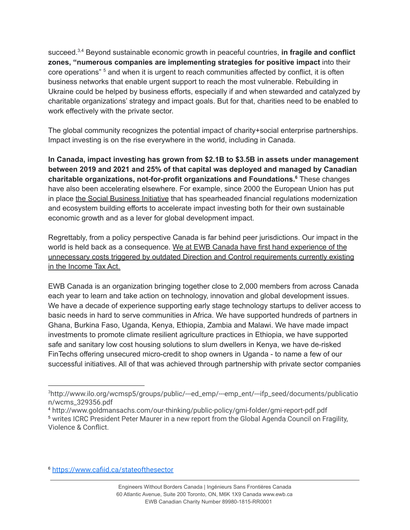succeed. 3,4 Beyond sustainable economic growth in peaceful countries, **in fragile and conflict zones, "numerous companies are implementing strategies for positive impact** into their core operations"<sup>5</sup> and when it is urgent to reach communities affected by conflict, it is often business networks that enable urgent support to reach the most vulnerable. Rebuilding in Ukraine could be helped by business efforts, especially if and when stewarded and catalyzed by charitable organizations' strategy and impact goals. But for that, charities need to be enabled to work effectively with the private sector.

The global community recognizes the potential impact of charity+social enterprise partnerships. Impact investing is on the rise everywhere in the world, including in Canada.

**In Canada, impact investing has grown from \$2.1B to \$3.5B in assets under management between 2019 and 2021 and 25% of that capital was deployed and managed by Canadian charitable organizations, not-for-profit organizations and Foundations. <sup>6</sup>** These changes have also been accelerating elsewhere. For example, since 2000 the European Union has put in place the Social [Business](https://ec.europa.eu/growth/sectors/proximity-and-social-economy/social-economy-eu/social-enterprises_en) Initiative that has spearheaded financial regulations modernization and ecosystem building efforts to accelerate impact investing both for their own sustainable economic growth and as a lever for global development impact.

Regrettably, from a policy perspective Canada is far behind peer jurisdictions. Our impact in the world is held back as a consequence. We at EWB Canada have first hand experience of the unnecessary costs triggered by outdated Direction and Control requirements currently existing in the Income Tax Act.

EWB Canada is an organization bringing together close to 2,000 members from across Canada each year to learn and take action on technology, innovation and global development issues. We have a decade of experience supporting early stage technology startups to deliver access to basic needs in hard to serve communities in Africa. We have supported hundreds of partners in Ghana, Burkina Faso, Uganda, Kenya, Ethiopia, Zambia and Malawi. We have made impact investments to promote climate resilient agriculture practices in Ethiopia, we have supported safe and sanitary low cost housing solutions to slum dwellers in Kenya, we have de-risked FinTechs offering unsecured micro-credit to shop owners in Uganda - to name a few of our successful initiatives. All of that was achieved through partnership with private sector companies

<sup>&</sup>lt;sup>3</sup>http://www.ilo.org/wcmsp5/groups/public/---ed\_emp/---emp\_ent/---ifp\_seed/documents/publicatio n/wcms\_329356.pdf

<sup>5</sup> writes ICRC President Peter Maurer in a new report from the Global Agenda Council on Fragility, Violence & Conflict. <sup>4</sup> http://www.goldmansachs.com/our-thinking/public-policy/gmi-folder/gmi-report-pdf.pdf

<sup>6</sup> <https://www.cafiid.ca/stateofthesector>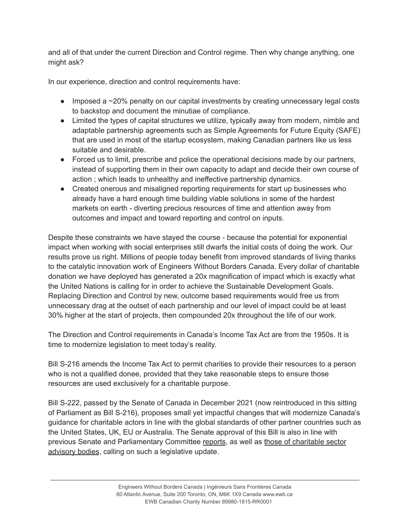and all of that under the current Direction and Control regime. Then why change anything, one might ask?

In our experience, direction and control requirements have:

- Imposed a ~20% penalty on our capital investments by creating unnecessary legal costs to backstop and document the minutiae of compliance.
- Limited the types of capital structures we utilize, typically away from modern, nimble and adaptable partnership agreements such as Simple Agreements for Future Equity (SAFE) that are used in most of the startup ecosystem, making Canadian partners like us less suitable and desirable.
- Forced us to limit, prescribe and police the operational decisions made by our partners, instead of supporting them in their own capacity to adapt and decide their own course of action ; which leads to unhealthy and ineffective partnership dynamics.
- Created onerous and misaligned reporting requirements for start up businesses who already have a hard enough time building viable solutions in some of the hardest markets on earth - diverting precious resources of time and attention away from outcomes and impact and toward reporting and control on inputs.

Despite these constraints we have stayed the course - because the potential for exponential impact when working with social enterprises still dwarfs the initial costs of doing the work. Our results prove us right. Millions of people today benefit from improved standards of living thanks to the catalytic innovation work of Engineers Without Borders Canada. Every dollar of charitable donation we have deployed has generated a 20x magnification of impact which is exactly what the United Nations is calling for in order to achieve the Sustainable Development Goals. Replacing Direction and Control by new, outcome based requirements would free us from unnecessary drag at the outset of each partnership and our level of impact could be at least 30% higher at the start of projects, then compounded 20x throughout the life of our work.

The Direction and Control requirements in Canada's Income Tax Act are from the 1950s. It is time to modernize legislation to meet today's reality.

Bill S-216 amends the Income Tax Act to permit charities to provide their resources to a person who is not a qualified donee, provided that they take reasonable steps to ensure those resources are used exclusively for a charitable purpose.

Bill S-222, passed by the Senate of Canada in December 2021 (now reintroduced in this sitting of Parliament as Bill S-216), proposes small yet impactful changes that will modernize Canada's guidance for charitable actors in line with the global standards of other partner countries such as the United States, UK, EU or Australia. The Senate approval of this Bill is also in line with previous Senate and Parliamentary Committee [reports](https://sencanada.ca/en/info-page/parl-42-1/cssb-catalyst-for-change/), as well as those of [charitable](https://www.canada.ca/en/revenue-agency/programs/about-canada-revenue-agency-cra/corporate-reports-information/advisory-committee-charitable-sector.html#8) sector [advisory](https://www.canada.ca/en/revenue-agency/programs/about-canada-revenue-agency-cra/corporate-reports-information/advisory-committee-charitable-sector.html#8) bodies, calling on such a legislative update.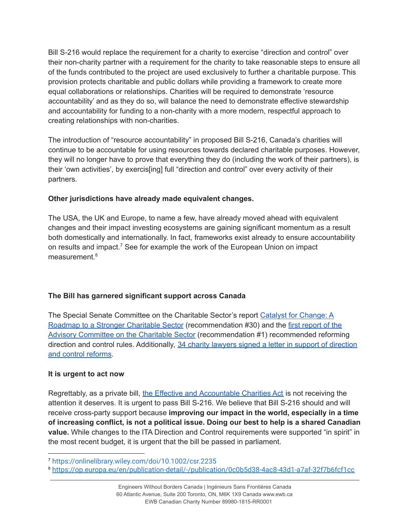Bill S-216 would replace the requirement for a charity to exercise "direction and control" over their non-charity partner with a requirement for the charity to take reasonable steps to ensure all of the funds contributed to the project are used exclusively to further a charitable purpose. This provision protects charitable and public dollars while providing a framework to create more equal collaborations or relationships. Charities will be required to demonstrate 'resource accountability' and as they do so, will balance the need to demonstrate effective stewardship and accountability for funding to a non-charity with a more modern, respectful approach to creating relationships with non-charities.

The introduction of "resource accountability" in proposed Bill S-216, Canada's charities will continue to be accountable for using resources towards declared charitable purposes. However, they will no longer have to prove that everything they do (including the work of their partners), is their 'own activities', by exercis[ing] full "direction and control" over every activity of their partners.

## **Other jurisdictions have already made equivalent changes.**

The USA, the UK and Europe, to name a few, have already moved ahead with equivalent changes and their impact investing ecosystems are gaining significant momentum as a result both domestically and internationally. In fact, frameworks exist already to ensure accountability on results and impact. <sup>7</sup> See for example the work of the European Union on impact measurement. 8

# **The Bill has garnered significant support across Canada**

The Special Senate Committee on the Charitable Sector's report Catalyst for [Change:](https://sencanada.ca/en/info-page/parl-42-1/cssb-catalyst-for-change/) A Roadmap to a Stronger [Charitable](https://sencanada.ca/en/info-page/parl-42-1/cssb-catalyst-for-change/) Sector (recommendation #30) and the first [report](https://www.canada.ca/en/revenue-agency/programs/about-canada-revenue-agency-cra/corporate-reports-information/advisory-committee-charitable-sector/report-advisory-committee-charitable-sector-february-2021.html) of the Advisory [Committee](https://www.canada.ca/en/revenue-agency/programs/about-canada-revenue-agency-cra/corporate-reports-information/advisory-committee-charitable-sector/report-advisory-committee-charitable-sector-february-2021.html) on the Charitable Sector (recommendation #1) recommended reforming [direction](https://www.millerthomson.com/wp-content/uploads/2021/02/Making-It-Easier-to-Do-Good-executed_.pdf) and control rules. Additionally, 34 charity lawyers signed a letter in support of direction and control [reforms.](https://www.millerthomson.com/wp-content/uploads/2021/02/Making-It-Easier-to-Do-Good-executed_.pdf)

#### **It is urgent to act now**

Regrettably, as a private bill, the Effective and [Accountable](https://www.parl.ca/DocumentViewer/en/44-1/bill/S-216/third-reading) Charities Act is not receiving the attention it deserves. It is urgent to pass Bill S-216. We believe that Bill S-216 should and will receive cross-party support because **improving our impact in the world, especially in a time of increasing conflict, is not a political issue. Doing our best to help is a shared Canadian value.** While changes to the ITA Direction and Control requirements were supported "in spirit" in the most recent budget, it is urgent that the bill be passed in parliament.

<sup>7</sup> <https://onlinelibrary.wiley.com/doi/10.1002/csr.2235>

<sup>8</sup> <https://op.europa.eu/en/publication-detail/-/publication/0c0b5d38-4ac8-43d1-a7af-32f7b6fcf1cc>